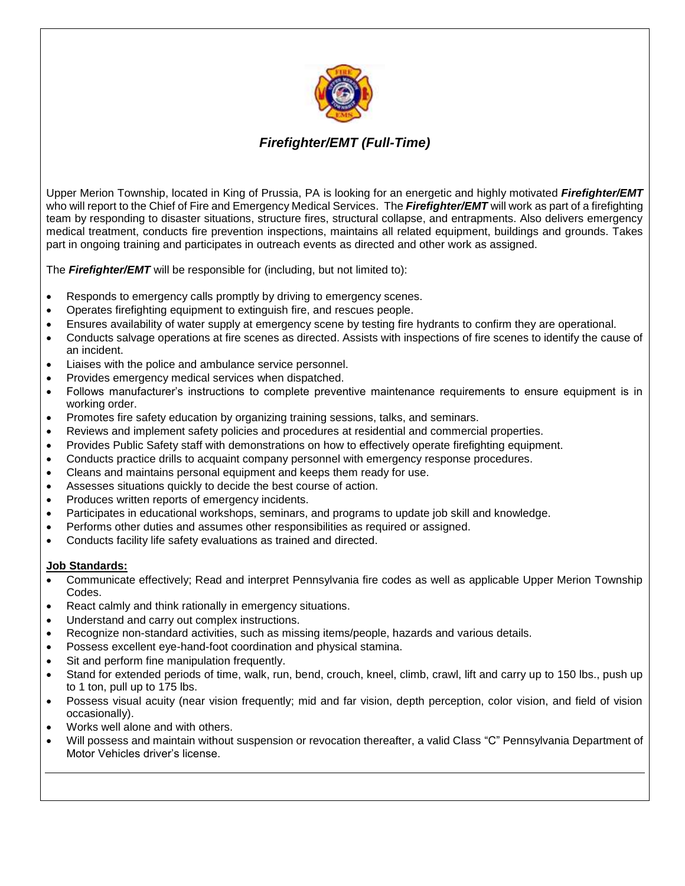

# *Firefighter/EMT (Full-Time)*

Upper Merion Township, located in King of Prussia, PA is looking for an energetic and highly motivated *Firefighter/EMT* who will report to the Chief of Fire and Emergency Medical Services. The *Firefighter/EMT* will work as part of a firefighting team by responding to disaster situations, structure fires, structural collapse, and entrapments. Also delivers emergency medical treatment, conducts fire prevention inspections, maintains all related equipment, buildings and grounds. Takes part in ongoing training and participates in outreach events as directed and other work as assigned.

The *Firefighter/EMT* will be responsible for (including, but not limited to):

- Responds to emergency calls promptly by driving to emergency scenes.
- Operates firefighting equipment to extinguish fire, and rescues people.
- Ensures availability of water supply at emergency scene by testing fire hydrants to confirm they are operational.
- Conducts salvage operations at fire scenes as directed. Assists with inspections of fire scenes to identify the cause of an incident.
- Liaises with the police and ambulance service personnel.
- Provides emergency medical services when dispatched.
- Follows manufacturer's instructions to complete preventive maintenance requirements to ensure equipment is in working order.
- Promotes fire safety education by organizing training sessions, talks, and seminars.
- Reviews and implement safety policies and procedures at residential and commercial properties.
- Provides Public Safety staff with demonstrations on how to effectively operate firefighting equipment.
- Conducts practice drills to acquaint company personnel with emergency response procedures.
- Cleans and maintains personal equipment and keeps them ready for use.
- Assesses situations quickly to decide the best course of action.
- Produces written reports of emergency incidents.
- Participates in educational workshops, seminars, and programs to update job skill and knowledge.
- Performs other duties and assumes other responsibilities as required or assigned.
- Conducts facility life safety evaluations as trained and directed.

### **Job Standards:**

- Communicate effectively; Read and interpret Pennsylvania fire codes as well as applicable Upper Merion Township Codes.
- React calmly and think rationally in emergency situations.
- Understand and carry out complex instructions.
- Recognize non-standard activities, such as missing items/people, hazards and various details.
- Possess excellent eye-hand-foot coordination and physical stamina.
- Sit and perform fine manipulation frequently.
- Stand for extended periods of time, walk, run, bend, crouch, kneel, climb, crawl, lift and carry up to 150 lbs., push up to 1 ton, pull up to 175 lbs.
- Possess visual acuity (near vision frequently; mid and far vision, depth perception, color vision, and field of vision occasionally).
- Works well alone and with others.
- Will possess and maintain without suspension or revocation thereafter, a valid Class "C" Pennsylvania Department of Motor Vehicles driver's license.